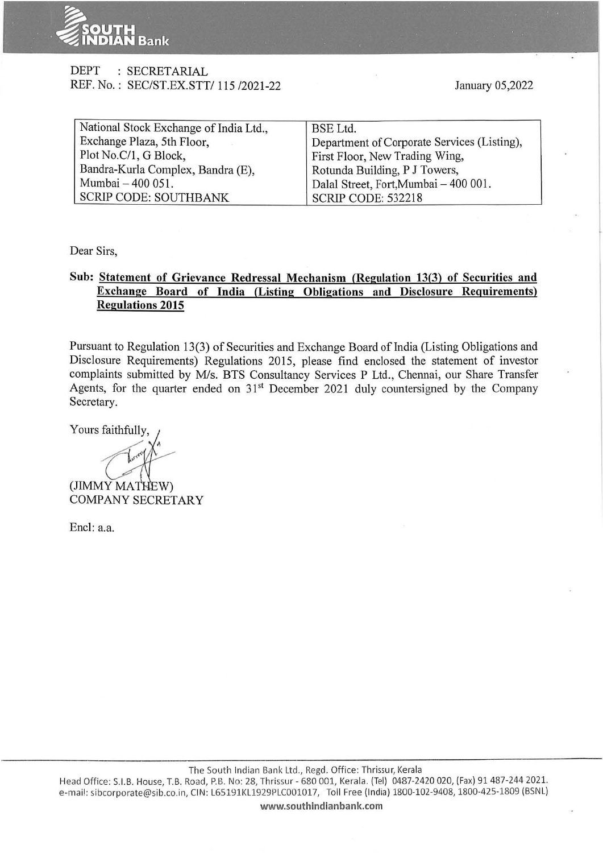

## DEPT : SECRETARIAL REF. No.: SEC/ST.EX.STT/ 115 /2021-22

| National Stock Exchange of India Ltd., | <b>BSE</b> Ltd.                             |  |  |
|----------------------------------------|---------------------------------------------|--|--|
| Exchange Plaza, 5th Floor,             | Department of Corporate Services (Listing), |  |  |
| Plot No.C/1, G Block,                  | First Floor, New Trading Wing,              |  |  |
| Bandra-Kurla Complex, Bandra (E),      | Rotunda Building, P J Towers,               |  |  |
| Mumbai - 400 051.                      | Dalal Street, Fort, Mumbai - 400 001.       |  |  |
| <b>SCRIP CODE: SOUTHBANK</b>           | <b>SCRIP CODE: 532218</b>                   |  |  |

Dear Sirs,

## **Sub: Statement of Grievance Redressal Mechanism (Regulation 13(3) of Securities and Exchange Board of India (Listing Obligations and Disclosure Requirements) Regulations 2015**

Pursuant to Regulation 13(3) of Securities and Exchange Board of India (Listing Obligations and Disclosure Requirements) Regulations 2015, please find enclosed the statement of investor complaints submitted by M/s. BTS Consultancy Services P Ltd., Chennai, our Share Transfer Agents, for the quarter ended on  $31<sup>st</sup>$  December 2021 duly countersigned by the Company Secretary.

Yours faithfully,

(JIMMY MATHEW) COMPANY SECRETARY

Encl: a.a.